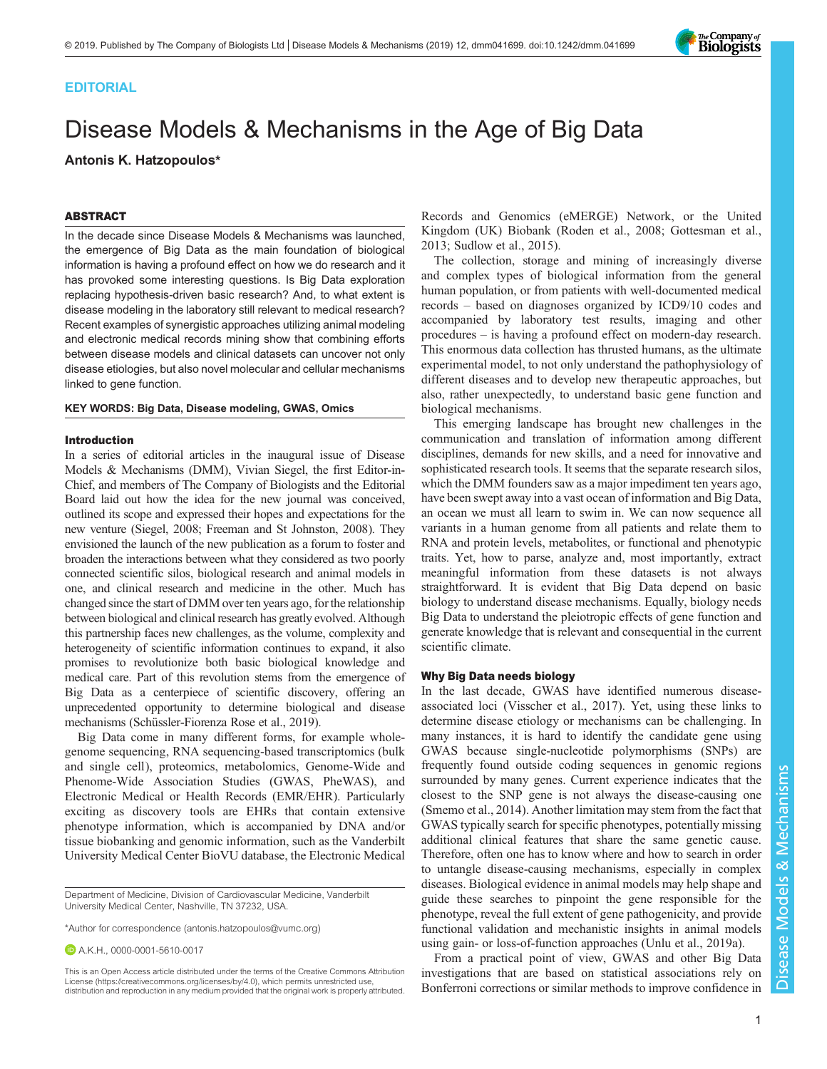# **EDITORIAL**

# Disease Models & Mechanisms in the Age of Big Data

Antonis K. Hatzopoulos\*

# ABSTRACT

In the decade since Disease Models & Mechanisms was launched, the emergence of Big Data as the main foundation of biological information is having a profound effect on how we do research and it has provoked some interesting questions. Is Big Data exploration replacing hypothesis-driven basic research? And, to what extent is disease modeling in the laboratory still relevant to medical research? Recent examples of synergistic approaches utilizing animal modeling and electronic medical records mining show that combining efforts between disease models and clinical datasets can uncover not only disease etiologies, but also novel molecular and cellular mechanisms linked to gene function.

## KEY WORDS: Big Data, Disease modeling, GWAS, Omics

#### Introduction

In a series of editorial articles in the inaugural issue of Disease Models & Mechanisms (DMM), Vivian Siegel, the first Editor-in-Chief, and members of The Company of Biologists and the Editorial Board laid out how the idea for the new journal was conceived, outlined its scope and expressed their hopes and expectations for the new venture [\(Siegel, 2008; Freeman and St Johnston, 2008\)](#page-2-0). They envisioned the launch of the new publication as a forum to foster and broaden the interactions between what they considered as two poorly connected scientific silos, biological research and animal models in one, and clinical research and medicine in the other. Much has changed since the start of DMM over ten years ago, for the relationship between biological and clinical research has greatly evolved. Although this partnership faces new challenges, as the volume, complexity and heterogeneity of scientific information continues to expand, it also promises to revolutionize both basic biological knowledge and medical care. Part of this revolution stems from the emergence of Big Data as a centerpiece of scientific discovery, offering an unprecedented opportunity to determine biological and disease mechanisms ([Schüssler-Fiorenza Rose et al., 2019\)](#page-2-0).

Big Data come in many different forms, for example wholegenome sequencing, RNA sequencing-based transcriptomics (bulk and single cell), proteomics, metabolomics, Genome-Wide and Phenome-Wide Association Studies (GWAS, PheWAS), and Electronic Medical or Health Records (EMR/EHR). Particularly exciting as discovery tools are EHRs that contain extensive phenotype information, which is accompanied by DNA and/or tissue biobanking and genomic information, such as the Vanderbilt University Medical Center BioVU database, the Electronic Medical

\*Author for correspondence [\(antonis.hatzopoulos@vumc.org](mailto:antonis.hatzopoulos@vumc.org))

**D** A.K.H., [0000-0001-5610-0017](http://orcid.org/0000-0001-5610-0017)

This is an Open Access article distributed under the terms of the Creative Commons Attribution License (https://creativecommons.org/licenses/by/4.0), which permits unrestricted use, distribution and reproduction in any medium provided that the original work is properly attributed.

Records and Genomics (eMERGE) Network, or the United Kingdom (UK) Biobank [\(Roden et al., 2008; Gottesman et al.,](#page-2-0) [2013; Sudlow et al., 2015](#page-2-0)).

The collection, storage and mining of increasingly diverse and complex types of biological information from the general human population, or from patients with well-documented medical records – based on diagnoses organized by ICD9/10 codes and accompanied by laboratory test results, imaging and other procedures – is having a profound effect on modern-day research. This enormous data collection has thrusted humans, as the ultimate experimental model, to not only understand the pathophysiology of different diseases and to develop new therapeutic approaches, but also, rather unexpectedly, to understand basic gene function and biological mechanisms.

This emerging landscape has brought new challenges in the communication and translation of information among different disciplines, demands for new skills, and a need for innovative and sophisticated research tools. It seems that the separate research silos, which the DMM founders saw as a major impediment ten years ago, have been swept away into a vast ocean of information and Big Data, an ocean we must all learn to swim in. We can now sequence all variants in a human genome from all patients and relate them to RNA and protein levels, metabolites, or functional and phenotypic traits. Yet, how to parse, analyze and, most importantly, extract meaningful information from these datasets is not always straightforward. It is evident that Big Data depend on basic biology to understand disease mechanisms. Equally, biology needs Big Data to understand the pleiotropic effects of gene function and generate knowledge that is relevant and consequential in the current scientific climate.

## Why Big Data needs biology

In the last decade, GWAS have identified numerous diseaseassociated loci ([Visscher et al., 2017\)](#page-2-0). Yet, using these links to determine disease etiology or mechanisms can be challenging. In many instances, it is hard to identify the candidate gene using GWAS because single-nucleotide polymorphisms (SNPs) are frequently found outside coding sequences in genomic regions surrounded by many genes. Current experience indicates that the closest to the SNP gene is not always the disease-causing one [\(Smemo et al., 2014\)](#page-2-0). Another limitation may stem from the fact that GWAS typically search for specific phenotypes, potentially missing additional clinical features that share the same genetic cause. Therefore, often one has to know where and how to search in order to untangle disease-causing mechanisms, especially in complex diseases. Biological evidence in animal models may help shape and guide these searches to pinpoint the gene responsible for the phenotype, reveal the full extent of gene pathogenicity, and provide functional validation and mechanistic insights in animal models using gain- or loss-of-function approaches [\(Unlu et al., 2019a](#page-2-0)).

From a practical point of view, GWAS and other Big Data investigations that are based on statistical associations rely on Bonferroni corrections or similar methods to improve confidence in



Department of Medicine, Division of Cardiovascular Medicine, Vanderbilt University Medical Center, Nashville, TN 37232, USA.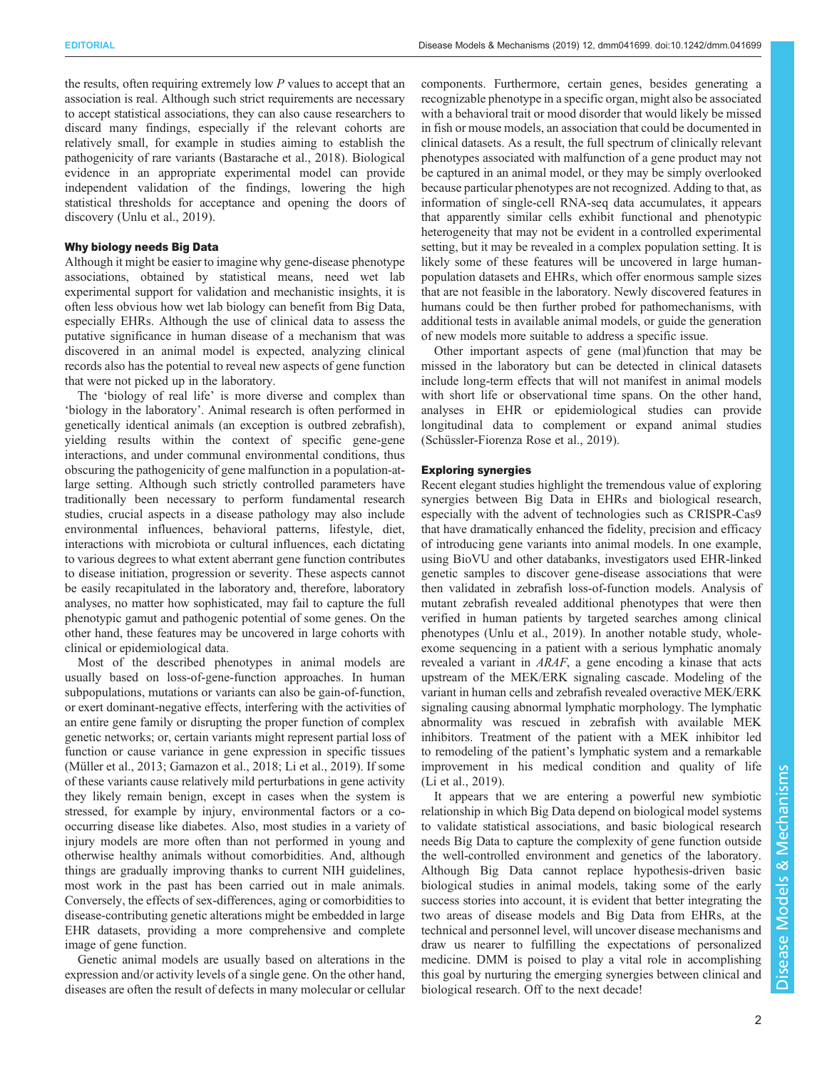the results, often requiring extremely low  $P$  values to accept that an association is real. Although such strict requirements are necessary to accept statistical associations, they can also cause researchers to discard many findings, especially if the relevant cohorts are relatively small, for example in studies aiming to establish the pathogenicity of rare variants ([Bastarache et al., 2018](#page-2-0)). Biological evidence in an appropriate experimental model can provide independent validation of the findings, lowering the high statistical thresholds for acceptance and opening the doors of discovery ([Unlu et al., 2019](#page-2-0)).

# Why biology needs Big Data

Although it might be easier to imagine why gene-disease phenotype associations, obtained by statistical means, need wet lab experimental support for validation and mechanistic insights, it is often less obvious how wet lab biology can benefit from Big Data, especially EHRs. Although the use of clinical data to assess the putative significance in human disease of a mechanism that was discovered in an animal model is expected, analyzing clinical records also has the potential to reveal new aspects of gene function that were not picked up in the laboratory.

The 'biology of real life' is more diverse and complex than 'biology in the laboratory'. Animal research is often performed in genetically identical animals (an exception is outbred zebrafish), yielding results within the context of specific gene-gene interactions, and under communal environmental conditions, thus obscuring the pathogenicity of gene malfunction in a population-atlarge setting. Although such strictly controlled parameters have traditionally been necessary to perform fundamental research studies, crucial aspects in a disease pathology may also include environmental influences, behavioral patterns, lifestyle, diet, interactions with microbiota or cultural influences, each dictating to various degrees to what extent aberrant gene function contributes to disease initiation, progression or severity. These aspects cannot be easily recapitulated in the laboratory and, therefore, laboratory analyses, no matter how sophisticated, may fail to capture the full phenotypic gamut and pathogenic potential of some genes. On the other hand, these features may be uncovered in large cohorts with clinical or epidemiological data.

Most of the described phenotypes in animal models are usually based on loss-of-gene-function approaches. In human subpopulations, mutations or variants can also be gain-of-function, or exert dominant-negative effects, interfering with the activities of an entire gene family or disrupting the proper function of complex genetic networks; or, certain variants might represent partial loss of function or cause variance in gene expression in specific tissues [\(Müller et al., 2013; Gamazon et al., 2018](#page-2-0); [Li et al., 2019\)](#page-2-0). If some of these variants cause relatively mild perturbations in gene activity they likely remain benign, except in cases when the system is stressed, for example by injury, environmental factors or a cooccurring disease like diabetes. Also, most studies in a variety of injury models are more often than not performed in young and otherwise healthy animals without comorbidities. And, although things are gradually improving thanks to current NIH guidelines, most work in the past has been carried out in male animals. Conversely, the effects of sex-differences, aging or comorbidities to disease-contributing genetic alterations might be embedded in large EHR datasets, providing a more comprehensive and complete image of gene function.

Genetic animal models are usually based on alterations in the expression and/or activity levels of a single gene. On the other hand, diseases are often the result of defects in many molecular or cellular components. Furthermore, certain genes, besides generating a recognizable phenotype in a specific organ, might also be associated with a behavioral trait or mood disorder that would likely be missed in fish or mouse models, an association that could be documented in clinical datasets. As a result, the full spectrum of clinically relevant phenotypes associated with malfunction of a gene product may not be captured in an animal model, or they may be simply overlooked because particular phenotypes are not recognized. Adding to that, as information of single-cell RNA-seq data accumulates, it appears that apparently similar cells exhibit functional and phenotypic heterogeneity that may not be evident in a controlled experimental setting, but it may be revealed in a complex population setting. It is likely some of these features will be uncovered in large humanpopulation datasets and EHRs, which offer enormous sample sizes that are not feasible in the laboratory. Newly discovered features in humans could be then further probed for pathomechanisms, with additional tests in available animal models, or guide the generation of new models more suitable to address a specific issue.

Other important aspects of gene (mal)function that may be missed in the laboratory but can be detected in clinical datasets include long-term effects that will not manifest in animal models with short life or observational time spans. On the other hand, analyses in EHR or epidemiological studies can provide longitudinal data to complement or expand animal studies [\(Schüssler-Fiorenza Rose et al., 2019\)](#page-2-0).

## Exploring synergies

Recent elegant studies highlight the tremendous value of exploring synergies between Big Data in EHRs and biological research, especially with the advent of technologies such as CRISPR-Cas9 that have dramatically enhanced the fidelity, precision and efficacy of introducing gene variants into animal models. In one example, using BioVU and other databanks, investigators used EHR-linked genetic samples to discover gene-disease associations that were then validated in zebrafish loss-of-function models. Analysis of mutant zebrafish revealed additional phenotypes that were then verified in human patients by targeted searches among clinical phenotypes ([Unlu et al., 2019](#page-2-0)). In another notable study, wholeexome sequencing in a patient with a serious lymphatic anomaly revealed a variant in ARAF, a gene encoding a kinase that acts upstream of the MEK/ERK signaling cascade. Modeling of the variant in human cells and zebrafish revealed overactive MEK/ERK signaling causing abnormal lymphatic morphology. The lymphatic abnormality was rescued in zebrafish with available MEK inhibitors. Treatment of the patient with a MEK inhibitor led to remodeling of the patient's lymphatic system and a remarkable improvement in his medical condition and quality of life [\(Li et al., 2019\)](#page-2-0).

It appears that we are entering a powerful new symbiotic relationship in which Big Data depend on biological model systems to validate statistical associations, and basic biological research needs Big Data to capture the complexity of gene function outside the well-controlled environment and genetics of the laboratory. Although Big Data cannot replace hypothesis-driven basic biological studies in animal models, taking some of the early success stories into account, it is evident that better integrating the two areas of disease models and Big Data from EHRs, at the technical and personnel level, will uncover disease mechanisms and draw us nearer to fulfilling the expectations of personalized medicine. DMM is poised to play a vital role in accomplishing this goal by nurturing the emerging synergies between clinical and biological research. Off to the next decade!